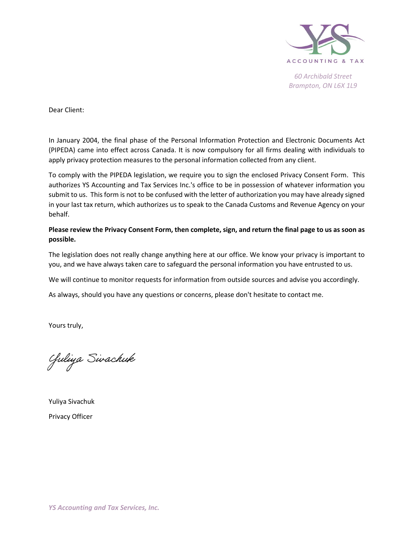

Dear Client:

In January 2004, the final phase of the Personal Information Protection and Electronic Documents Act (PIPEDA) came into effect across Canada. It is now compulsory for all firms dealing with individuals to apply privacy protection measures to the personal information collected from any client.

To comply with the PIPEDA legislation, we require you to sign the enclosed Privacy Consent Form. This authorizes YS Accounting and Tax Services Inc.'s office to be in possession of whatever information you submit to us. This form is not to be confused with the letter of authorization you may have already signed in your last tax return, which authorizes us to speak to the Canada Customs and Revenue Agency on your behalf.

Please review the Privacy Consent Form, then complete, sign, and return the final page to us as soon as possible.

The legislation does not really change anything here at our office. We know your privacy is important to you, and we have always taken care to safeguard the personal information you have entrusted to us.

We will continue to monitor requests for information from outside sources and advise you accordingly.

As always, should you have any questions or concerns, please don't hesitate to contact me.

Yours truly,

Guliya Sivachuk

Yuliya Sivachuk Privacy Officer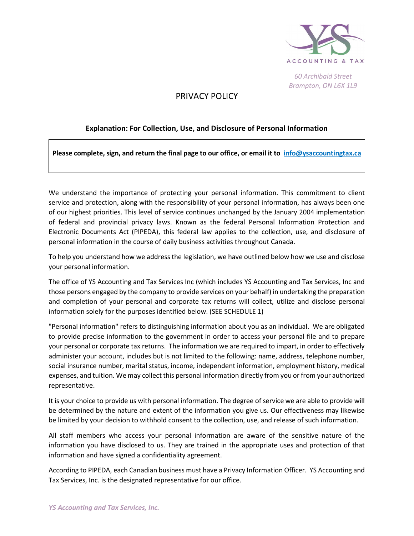

## PRIVACY POLICY

### Explanation: For Collection, Use, and Disclosure of Personal Information

Please complete, sign, and return the final page to our office, or email it to info@ysaccountingtax.ca

We understand the importance of protecting your personal information. This commitment to client service and protection, along with the responsibility of your personal information, has always been one of our highest priorities. This level of service continues unchanged by the January 2004 implementation of federal and provincial privacy laws. Known as the federal Personal Information Protection and Electronic Documents Act (PIPEDA), this federal law applies to the collection, use, and disclosure of personal information in the course of daily business activities throughout Canada.

To help you understand how we address the legislation, we have outlined below how we use and disclose your personal information.

The office of YS Accounting and Tax Services Inc (which includes YS Accounting and Tax Services, Inc and those persons engaged by the company to provide services on your behalf) in undertaking the preparation and completion of your personal and corporate tax returns will collect, utilize and disclose personal information solely for the purposes identified below. (SEE SCHEDULE 1)

"Personal information" refers to distinguishing information about you as an individual. We are obligated to provide precise information to the government in order to access your personal file and to prepare your personal or corporate tax returns. The information we are required to impart, in order to effectively administer your account, includes but is not limited to the following: name, address, telephone number, social insurance number, marital status, income, independent information, employment history, medical expenses, and tuition. We may collect this personal information directly from you or from your authorized representative.

It is your choice to provide us with personal information. The degree of service we are able to provide will be determined by the nature and extent of the information you give us. Our effectiveness may likewise be limited by your decision to withhold consent to the collection, use, and release of such information.

All staff members who access your personal information are aware of the sensitive nature of the information you have disclosed to us. They are trained in the appropriate uses and protection of that information and have signed a confidentiality agreement.

According to PIPEDA, each Canadian business must have a Privacy Information Officer. YS Accounting and Tax Services, Inc. is the designated representative for our office.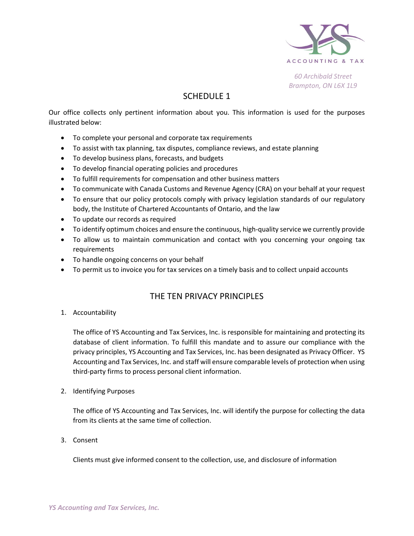

# SCHEDULE 1

Our office collects only pertinent information about you. This information is used for the purposes illustrated below:

- To complete your personal and corporate tax requirements
- To assist with tax planning, tax disputes, compliance reviews, and estate planning
- To develop business plans, forecasts, and budgets
- To develop financial operating policies and procedures
- To fulfill requirements for compensation and other business matters
- To communicate with Canada Customs and Revenue Agency (CRA) on your behalf at your request
- To ensure that our policy protocols comply with privacy legislation standards of our regulatory body, the Institute of Chartered Accountants of Ontario, and the law
- To update our records as required
- To identify optimum choices and ensure the continuous, high-quality service we currently provide
- To allow us to maintain communication and contact with you concerning your ongoing tax requirements
- To handle ongoing concerns on your behalf
- To permit us to invoice you for tax services on a timely basis and to collect unpaid accounts

### THE TEN PRIVACY PRINCIPLES

1. Accountability

The office of YS Accounting and Tax Services, Inc. is responsible for maintaining and protecting its database of client information. To fulfill this mandate and to assure our compliance with the privacy principles, YS Accounting and Tax Services, Inc. has been designated as Privacy Officer. YS Accounting and Tax Services, Inc. and staff will ensure comparable levels of protection when using third-party firms to process personal client information.

2. Identifying Purposes

The office of YS Accounting and Tax Services, Inc. will identify the purpose for collecting the data from its clients at the same time of collection.

3. Consent

Clients must give informed consent to the collection, use, and disclosure of information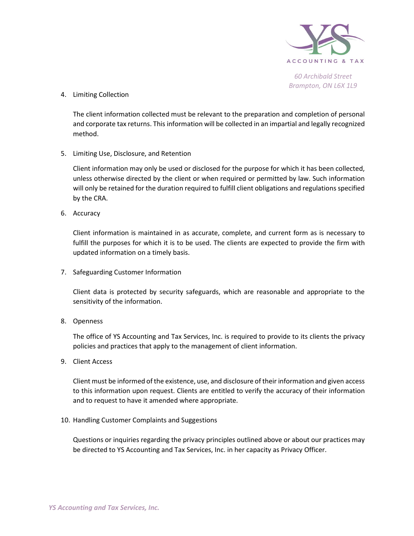

4. Limiting Collection

The client information collected must be relevant to the preparation and completion of personal and corporate tax returns. This information will be collected in an impartial and legally recognized method.

5. Limiting Use, Disclosure, and Retention

Client information may only be used or disclosed for the purpose for which it has been collected, unless otherwise directed by the client or when required or permitted by law. Such information will only be retained for the duration required to fulfill client obligations and regulations specified by the CRA.

6. Accuracy

Client information is maintained in as accurate, complete, and current form as is necessary to fulfill the purposes for which it is to be used. The clients are expected to provide the firm with updated information on a timely basis.

7. Safeguarding Customer Information

Client data is protected by security safeguards, which are reasonable and appropriate to the sensitivity of the information.

8. Openness

The office of YS Accounting and Tax Services, Inc. is required to provide to its clients the privacy policies and practices that apply to the management of client information.

9. Client Access

Client must be informed of the existence, use, and disclosure of their information and given access to this information upon request. Clients are entitled to verify the accuracy of their information and to request to have it amended where appropriate.

10. Handling Customer Complaints and Suggestions

Questions or inquiries regarding the privacy principles outlined above or about our practices may be directed to YS Accounting and Tax Services, Inc. in her capacity as Privacy Officer.